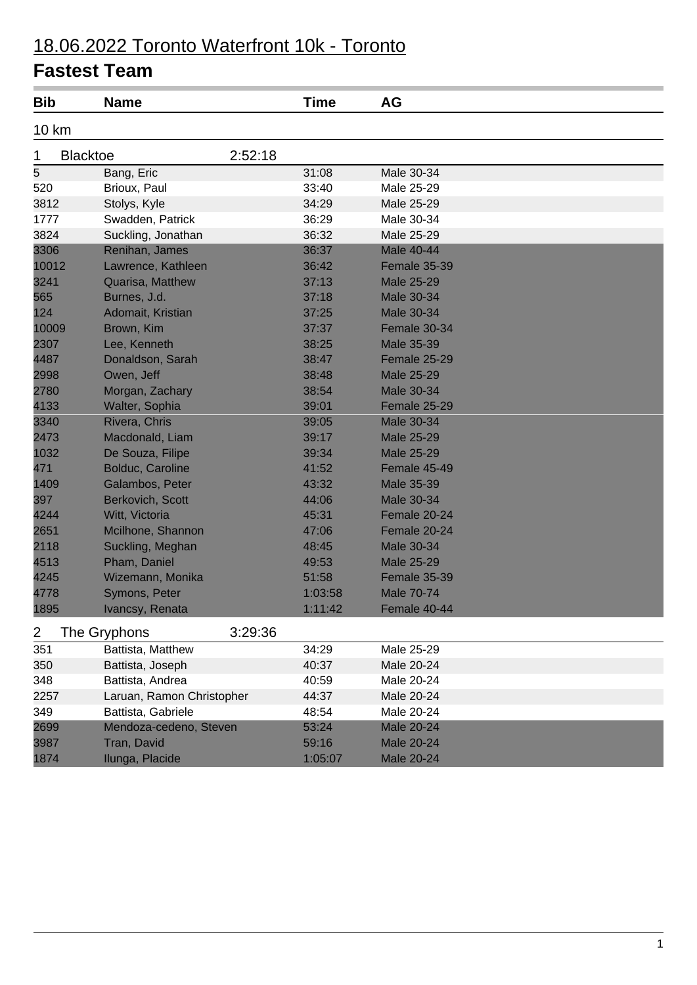# 18.06.2022 Toronto Waterfront 10k - Toronto

| <b>Bib</b>     | <b>Name</b>               |         | <b>Time</b> | AG                |  |
|----------------|---------------------------|---------|-------------|-------------------|--|
| 10 km          |                           |         |             |                   |  |
| 1              | <b>Blacktoe</b>           | 2:52:18 |             |                   |  |
| $\overline{5}$ | Bang, Eric                |         | 31:08       | Male 30-34        |  |
| 520            | Brioux, Paul              |         | 33:40       | Male 25-29        |  |
| 3812           | Stolys, Kyle              |         | 34:29       | Male 25-29        |  |
| 1777           | Swadden, Patrick          |         | 36:29       | Male 30-34        |  |
| 3824           | Suckling, Jonathan        |         | 36:32       | Male 25-29        |  |
| 3306           | Renihan, James            |         | 36:37       | Male 40-44        |  |
| 10012          | Lawrence, Kathleen        |         | 36:42       | Female 35-39      |  |
| 3241           | Quarisa, Matthew          |         | 37:13       | <b>Male 25-29</b> |  |
| 565            | Burnes, J.d.              |         | 37:18       | Male 30-34        |  |
| 124            | Adomait, Kristian         |         | 37:25       | Male 30-34        |  |
| 10009          | Brown, Kim                |         | 37:37       | Female 30-34      |  |
| 2307           | Lee, Kenneth              |         | 38:25       | Male 35-39        |  |
| 4487           | Donaldson, Sarah          |         | 38:47       | Female 25-29      |  |
| 2998           | Owen, Jeff                |         | 38:48       | Male 25-29        |  |
| 2780           | Morgan, Zachary           |         | 38:54       | Male 30-34        |  |
| 4133           | Walter, Sophia            |         | 39:01       | Female 25-29      |  |
| 3340           | Rivera, Chris             |         | 39:05       | Male 30-34        |  |
| 2473           | Macdonald, Liam           |         | 39:17       | Male 25-29        |  |
| 1032           | De Souza, Filipe          |         | 39:34       | Male 25-29        |  |
| 471            | Bolduc, Caroline          |         | 41:52       | Female 45-49      |  |
| 1409           | Galambos, Peter           |         | 43:32       | Male 35-39        |  |
| 397            | Berkovich, Scott          |         | 44:06       | Male 30-34        |  |
| 4244           | Witt, Victoria            |         | 45:31       | Female 20-24      |  |
| 2651           | Mcilhone, Shannon         |         | 47:06       | Female 20-24      |  |
| 2118           | Suckling, Meghan          |         | 48:45       | Male 30-34        |  |
| 4513           | Pham, Daniel              |         | 49:53       | Male 25-29        |  |
| 4245           | Wizemann, Monika          |         | 51:58       | Female 35-39      |  |
| 4778           | Symons, Peter             |         | 1:03:58     | <b>Male 70-74</b> |  |
| 1895           | Ivancsy, Renata           |         | 1:11:42     | Female 40-44      |  |
| 2              | The Gryphons              | 3:29:36 |             |                   |  |
| 351            | Battista, Matthew         |         | 34:29       | Male 25-29        |  |
| 350            | Battista, Joseph          |         | 40:37       | Male 20-24        |  |
| 348            | Battista, Andrea          |         | 40:59       | Male 20-24        |  |
| 2257           | Laruan, Ramon Christopher |         | 44:37       | Male 20-24        |  |
| 349            | Battista, Gabriele        |         | 48:54       | Male 20-24        |  |
| 2699           | Mendoza-cedeno, Steven    |         | 53:24       | Male 20-24        |  |
| 3987           | Tran, David               |         | 59:16       | Male 20-24        |  |
| 1874           | Ilunga, Placide           |         | 1:05:07     | Male 20-24        |  |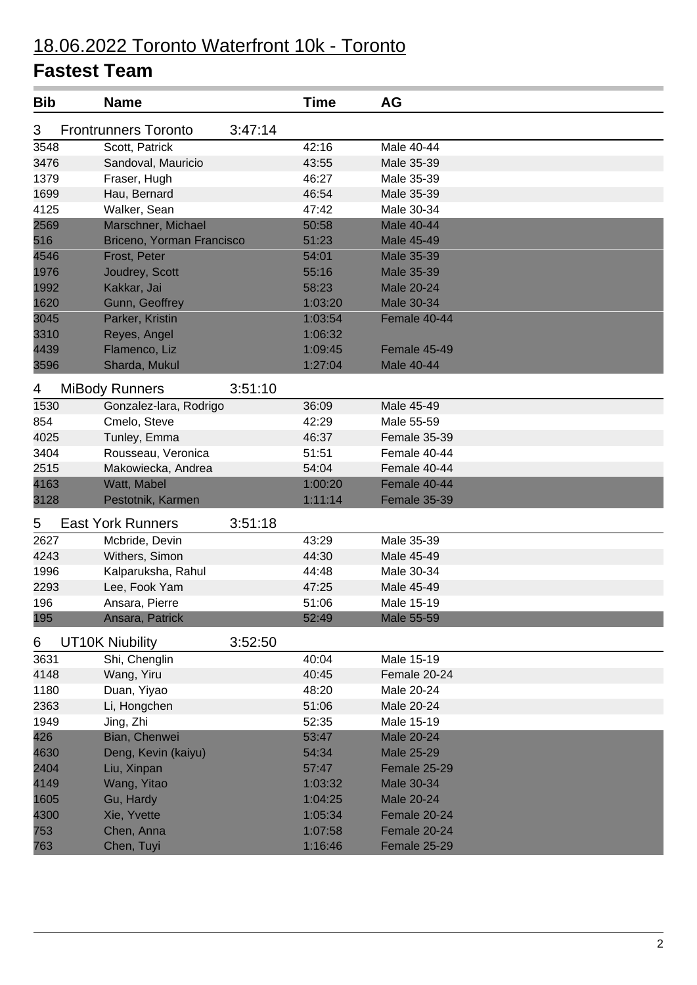| <b>Bib</b> | <b>Name</b>                 |         | <b>Time</b> | AG                |
|------------|-----------------------------|---------|-------------|-------------------|
| 3          | <b>Frontrunners Toronto</b> | 3:47:14 |             |                   |
| 3548       | Scott, Patrick              |         | 42:16       | Male 40-44        |
| 3476       | Sandoval, Mauricio          |         | 43:55       | Male 35-39        |
| 1379       | Fraser, Hugh                |         | 46:27       | Male 35-39        |
| 1699       | Hau, Bernard                |         | 46:54       | Male 35-39        |
| 4125       | Walker, Sean                |         | 47:42       | Male 30-34        |
| 2569       | Marschner, Michael          |         | 50:58       | Male 40-44        |
| 516        | Briceno, Yorman Francisco   |         | 51:23       | Male 45-49        |
| 4546       | Frost, Peter                |         | 54:01       | Male 35-39        |
| 1976       | Joudrey, Scott              |         | 55:16       | Male 35-39        |
| 1992       | Kakkar, Jai                 |         | 58:23       | Male 20-24        |
| 1620       | Gunn, Geoffrey              |         | 1:03:20     | <b>Male 30-34</b> |
| 3045       | Parker, Kristin             |         | 1:03:54     | Female 40-44      |
| 3310       | Reyes, Angel                |         | 1:06:32     |                   |
| 4439       | Flamenco, Liz               |         | 1:09:45     | Female 45-49      |
| 3596       | Sharda, Mukul               |         | 1:27:04     | Male 40-44        |
| 4          | <b>MiBody Runners</b>       | 3:51:10 |             |                   |
| 1530       | Gonzalez-lara, Rodrigo      |         | 36:09       | Male 45-49        |
| 854        | Cmelo, Steve                |         | 42:29       | Male 55-59        |
| 4025       | Tunley, Emma                |         | 46:37       | Female 35-39      |
| 3404       | Rousseau, Veronica          |         | 51:51       | Female 40-44      |
| 2515       | Makowiecka, Andrea          |         | 54:04       | Female 40-44      |
| 4163       | Watt, Mabel                 |         | 1:00:20     | Female 40-44      |
| 3128       | Pestotnik, Karmen           |         | 1:11:14     | Female 35-39      |
| 5          | <b>East York Runners</b>    | 3:51:18 |             |                   |
| 2627       | Mcbride, Devin              |         | 43:29       | Male 35-39        |
| 4243       | Withers, Simon              |         | 44:30       | Male 45-49        |
| 1996       | Kalparuksha, Rahul          |         | 44:48       | Male 30-34        |
| 2293       | Lee, Fook Yam               |         | 47:25       | Male 45-49        |
| 196        | Ansara, Pierre              |         | 51:06       | Male 15-19        |
| 195        | Ansara, Patrick             |         | 52:49       | Male 55-59        |
|            |                             |         |             |                   |
| 6          | <b>UT10K Niubility</b>      | 3:52:50 |             |                   |
| 3631       | Shi, Chenglin               |         | 40:04       | Male 15-19        |
| 4148       | Wang, Yiru                  |         | 40:45       | Female 20-24      |
| 1180       | Duan, Yiyao                 |         | 48:20       | Male 20-24        |
| 2363       | Li, Hongchen                |         | 51:06       | Male 20-24        |
| 1949       | Jing, Zhi                   |         | 52:35       | Male 15-19        |
| 426        | Bian, Chenwei               |         | 53:47       | Male 20-24        |
| 4630       | Deng, Kevin (kaiyu)         |         | 54:34       | Male 25-29        |
| 2404       | Liu, Xinpan                 |         | 57:47       | Female 25-29      |
| 4149       | Wang, Yitao                 |         | 1:03:32     | Male 30-34        |
| 1605       | Gu, Hardy                   |         | 1:04:25     | Male 20-24        |
| 4300       | Xie, Yvette                 |         | 1:05:34     | Female 20-24      |
| 753        | Chen, Anna                  |         | 1:07:58     | Female 20-24      |
| 763        | Chen, Tuyi                  |         | 1:16:46     | Female 25-29      |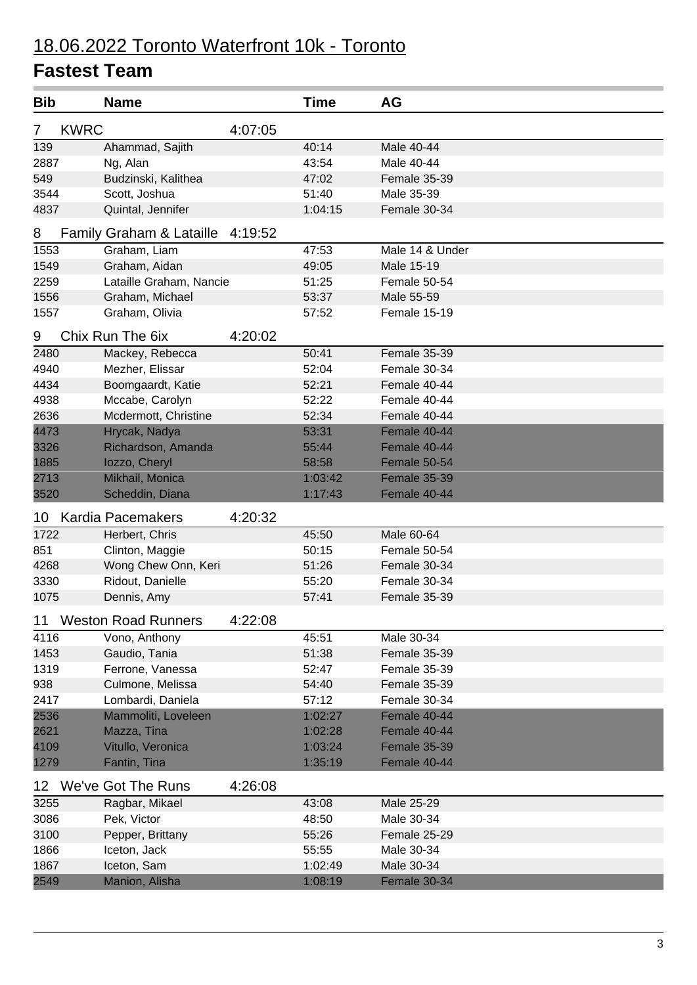# 18.06.2022 Toronto Waterfront 10k - Toronto

| <b>Bib</b> |             | <b>Name</b>                         |         | <b>Time</b> | <b>AG</b>           |
|------------|-------------|-------------------------------------|---------|-------------|---------------------|
| 7          | <b>KWRC</b> |                                     | 4:07:05 |             |                     |
| 139        |             | Ahammad, Sajith                     |         | 40:14       | Male 40-44          |
| 2887       |             | Ng, Alan                            |         | 43:54       | Male 40-44          |
| 549        |             | Budzinski, Kalithea                 |         | 47:02       | Female 35-39        |
| 3544       |             | Scott, Joshua                       |         | 51:40       | Male 35-39          |
| 4837       |             | Quintal, Jennifer                   |         | 1:04:15     | Female 30-34        |
| 8          |             | <b>Family Graham &amp; Lataille</b> | 4:19:52 |             |                     |
| 1553       |             | Graham, Liam                        |         | 47:53       | Male 14 & Under     |
| 1549       |             | Graham, Aidan                       |         | 49:05       | Male 15-19          |
| 2259       |             | Lataille Graham, Nancie             |         | 51:25       | Female 50-54        |
| 1556       |             | Graham, Michael                     |         | 53:37       | Male 55-59          |
| 1557       |             | Graham, Olivia                      |         | 57:52       | Female 15-19        |
| 9          |             | Chix Run The 6ix                    | 4:20:02 |             |                     |
| 2480       |             | Mackey, Rebecca                     |         | 50:41       | Female 35-39        |
| 4940       |             | Mezher, Elissar                     |         | 52:04       | Female 30-34        |
| 4434       |             | Boomgaardt, Katie                   |         | 52:21       | Female 40-44        |
| 4938       |             | Mccabe, Carolyn                     |         | 52:22       | Female 40-44        |
| 2636       |             | Mcdermott, Christine                |         | 52:34       | Female 40-44        |
| 4473       |             | Hrycak, Nadya                       |         | 53:31       | Female 40-44        |
| 3326       |             | Richardson, Amanda                  |         | 55:44       | Female 40-44        |
| 1885       |             | lozzo, Cheryl                       |         | 58:58       | Female 50-54        |
| 2713       |             | Mikhail, Monica                     |         | 1:03:42     | <b>Female 35-39</b> |
| 3520       |             | Scheddin, Diana                     |         | 1:17:43     | Female 40-44        |
| 10         |             | <b>Kardia Pacemakers</b>            | 4:20:32 |             |                     |
| 1722       |             | Herbert, Chris                      |         | 45:50       | Male 60-64          |
| 851        |             | Clinton, Maggie                     |         | 50:15       | Female 50-54        |
| 4268       |             | Wong Chew Onn, Keri                 |         | 51:26       | Female 30-34        |
| 3330       |             | Ridout, Danielle                    |         | 55:20       | Female 30-34        |
| 1075       |             | Dennis, Amy                         |         | 57:41       | Female 35-39        |
| 11         |             | <b>Weston Road Runners</b>          | 4:22:08 |             |                     |
| 4116       |             | Vono, Anthony                       |         | 45:51       | Male 30-34          |
| 1453       |             | Gaudio, Tania                       |         | 51:38       | Female 35-39        |
| 1319       |             | Ferrone, Vanessa                    |         | 52:47       | Female 35-39        |
| 938        |             | Culmone, Melissa                    |         | 54:40       | <b>Female 35-39</b> |
| 2417       |             | Lombardi, Daniela                   |         | 57:12       | Female 30-34        |
| 2536       |             | Mammoliti, Loveleen                 |         | 1:02:27     | Female 40-44        |
| 2621       |             | Mazza, Tina                         |         | 1:02:28     | Female 40-44        |
| 4109       |             | Vitullo, Veronica                   |         | 1:03:24     | Female 35-39        |
| 1279       |             | Fantin, Tina                        |         | 1:35:19     | Female 40-44        |
| 12         |             | We've Got The Runs                  | 4:26:08 |             |                     |
| 3255       |             | Ragbar, Mikael                      |         | 43:08       | Male 25-29          |
| 3086       |             | Pek, Victor                         |         | 48:50       | Male 30-34          |
| 3100       |             | Pepper, Brittany                    |         | 55:26       | Female 25-29        |
| 1866       |             | Iceton, Jack                        |         | 55:55       | Male 30-34          |
| 1867       |             | Iceton, Sam                         |         | 1:02:49     | Male 30-34          |
| 2549       |             | Manion, Alisha                      |         | 1:08:19     | Female 30-34        |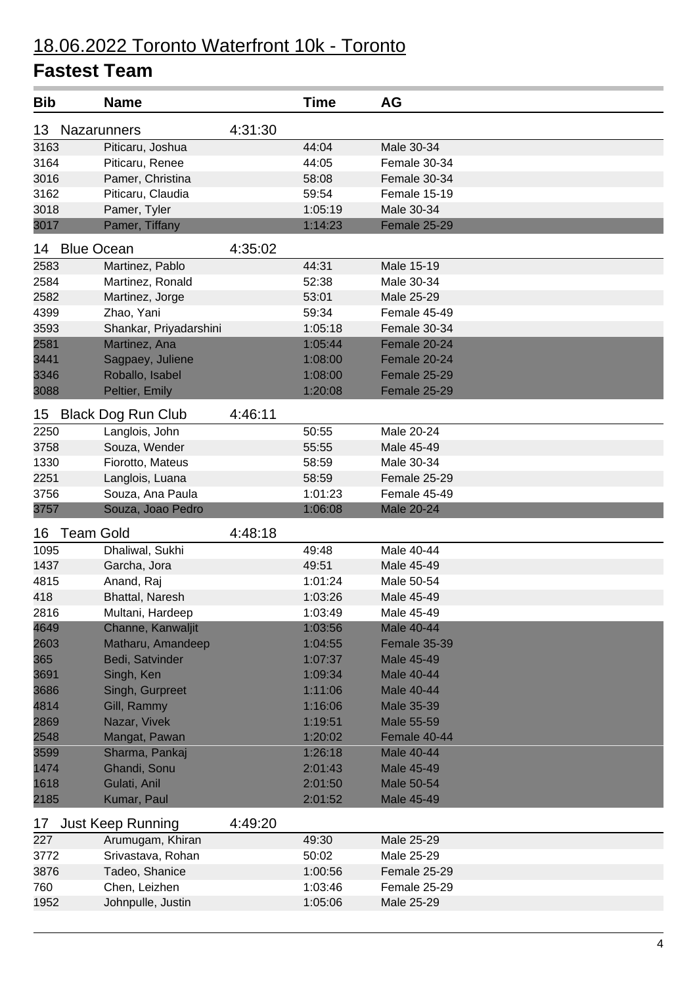| <b>Bib</b> | Name                      |         | <b>Time</b> | AG                |
|------------|---------------------------|---------|-------------|-------------------|
| 13         | Nazarunners               | 4:31:30 |             |                   |
| 3163       | Piticaru, Joshua          |         | 44:04       | Male 30-34        |
| 3164       | Piticaru, Renee           |         | 44:05       | Female 30-34      |
| 3016       | Pamer, Christina          |         | 58:08       | Female 30-34      |
| 3162       | Piticaru, Claudia         |         | 59:54       | Female 15-19      |
| 3018       | Pamer, Tyler              |         | 1:05:19     | Male 30-34        |
| 3017       | Pamer, Tiffany            |         | 1:14:23     | Female 25-29      |
| 14         | <b>Blue Ocean</b>         | 4:35:02 |             |                   |
| 2583       | Martinez, Pablo           |         | 44:31       | Male 15-19        |
| 2584       | Martinez, Ronald          |         | 52:38       | Male 30-34        |
| 2582       | Martinez, Jorge           |         | 53:01       | Male 25-29        |
| 4399       | Zhao, Yani                |         | 59:34       | Female 45-49      |
| 3593       | Shankar, Priyadarshini    |         | 1:05:18     | Female 30-34      |
| 2581       | Martinez, Ana             |         | 1:05:44     | Female 20-24      |
| 3441       | Sagpaey, Juliene          |         | 1:08:00     | Female 20-24      |
| 3346       | Roballo, Isabel           |         | 1:08:00     | Female 25-29      |
| 3088       | Peltier, Emily            |         | 1:20:08     | Female 25-29      |
| 15         | <b>Black Dog Run Club</b> | 4:46:11 |             |                   |
| 2250       | Langlois, John            |         | 50:55       | Male 20-24        |
| 3758       | Souza, Wender             |         | 55:55       | Male 45-49        |
| 1330       | Fiorotto, Mateus          |         | 58:59       | Male 30-34        |
| 2251       | Langlois, Luana           |         | 58:59       | Female 25-29      |
| 3756       | Souza, Ana Paula          |         | 1:01:23     | Female 45-49      |
| 3757       | Souza, Joao Pedro         |         | 1:06:08     | <b>Male 20-24</b> |
| 16         | <b>Team Gold</b>          | 4:48:18 |             |                   |
| 1095       | Dhaliwal, Sukhi           |         | 49:48       | Male 40-44        |
| 1437       | Garcha, Jora              |         | 49:51       | Male 45-49        |
| 4815       | Anand, Raj                |         | 1:01:24     | Male 50-54        |
| 418        | Bhattal, Naresh           |         | 1:03:26     | Male 45-49        |
| 2816       | Multani, Hardeep          |         | 1:03:49     | Male 45-49        |
| 4649       | Channe, Kanwaljit         |         | 1:03:56     | Male 40-44        |
| 2603       | Matharu, Amandeep         |         | 1:04:55     | Female 35-39      |
| 365        | Bedi, Satvinder           |         | 1:07:37     | Male 45-49        |
| 3691       | Singh, Ken                |         | 1:09:34     | Male 40-44        |
| 3686       | Singh, Gurpreet           |         | 1:11:06     | Male 40-44        |
| 4814       | Gill, Rammy               |         | 1:16:06     | Male 35-39        |
| 2869       | Nazar, Vivek              |         | 1:19:51     | Male 55-59        |
| 2548       | Mangat, Pawan             |         | 1:20:02     | Female 40-44      |
| 3599       | Sharma, Pankaj            |         | 1:26:18     | Male 40-44        |
| 1474       | Ghandi, Sonu              |         | 2:01:43     | Male 45-49        |
| 1618       | Gulati, Anil              |         | 2:01:50     | Male 50-54        |
| 2185       | Kumar, Paul               |         | 2:01:52     | Male 45-49        |
| 17         | <b>Just Keep Running</b>  | 4:49:20 |             |                   |
| 227        | Arumugam, Khiran          |         | 49:30       | Male 25-29        |
| 3772       | Srivastava, Rohan         |         | 50:02       | Male 25-29        |
| 3876       | Tadeo, Shanice            |         | 1:00:56     | Female 25-29      |
| 760        | Chen, Leizhen             |         | 1:03:46     | Female 25-29      |
| 1952       | Johnpulle, Justin         |         | 1:05:06     | Male 25-29        |
|            |                           |         |             |                   |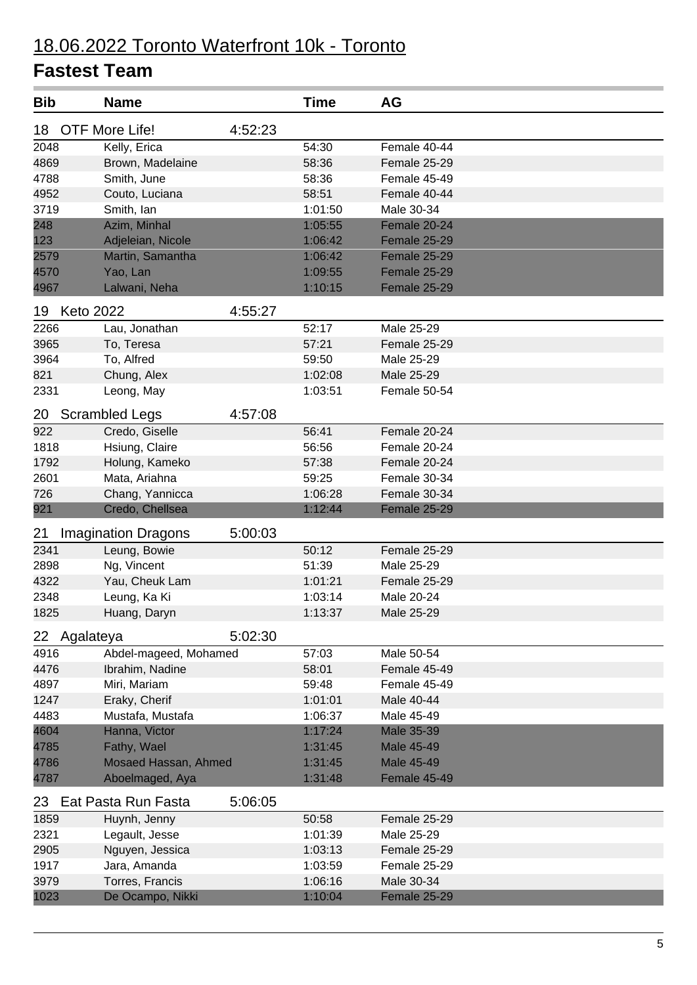| <b>Bib</b>             | <b>Name</b>                |         | <b>Time</b> | AG                |
|------------------------|----------------------------|---------|-------------|-------------------|
| 18                     | OTF More Life!             | 4:52:23 |             |                   |
| 2048                   | Kelly, Erica               |         | 54:30       | Female 40-44      |
| 4869                   | Brown, Madelaine           |         | 58:36       | Female 25-29      |
| 4788                   | Smith, June                |         | 58:36       | Female 45-49      |
| 4952                   | Couto, Luciana             |         | 58:51       | Female 40-44      |
| 3719                   | Smith, lan                 |         | 1:01:50     | Male 30-34        |
| 248                    | Azim, Minhal               |         | 1:05:55     | Female 20-24      |
| 123                    | Adjeleian, Nicole          |         | 1:06:42     | Female 25-29      |
| 2579                   | Martin, Samantha           |         | 1:06:42     | Female 25-29      |
| 4570                   | Yao, Lan                   |         | 1:09:55     | Female 25-29      |
| 4967                   | Lalwani, Neha              |         | 1:10:15     | Female 25-29      |
| <b>Keto 2022</b><br>19 |                            | 4:55:27 |             |                   |
| 2266                   | Lau, Jonathan              |         | 52:17       | Male 25-29        |
| 3965                   | To, Teresa                 |         | 57:21       | Female 25-29      |
| 3964                   | To, Alfred                 |         | 59:50       | Male 25-29        |
| 821                    | Chung, Alex                |         | 1:02:08     | Male 25-29        |
| 2331                   | Leong, May                 |         | 1:03:51     | Female 50-54      |
| 20                     | <b>Scrambled Legs</b>      | 4:57:08 |             |                   |
| 922                    | Credo, Giselle             |         | 56:41       | Female 20-24      |
| 1818                   | Hsiung, Claire             |         | 56:56       | Female 20-24      |
| 1792                   | Holung, Kameko             |         | 57:38       | Female 20-24      |
| 2601                   | Mata, Ariahna              |         | 59:25       | Female 30-34      |
| 726                    | Chang, Yannicca            |         | 1:06:28     | Female 30-34      |
| 921                    | Credo, Chellsea            |         | 1:12:44     | Female 25-29      |
| 21                     | <b>Imagination Dragons</b> | 5:00:03 |             |                   |
| 2341                   | Leung, Bowie               |         | 50:12       | Female 25-29      |
| 2898                   | Ng, Vincent                |         | 51:39       | Male 25-29        |
| 4322                   | Yau, Cheuk Lam             |         | 1:01:21     | Female 25-29      |
| 2348                   | Leung, Ka Ki               |         | 1:03:14     | Male 20-24        |
| 1825                   | Huang, Daryn               |         | 1:13:37     | Male 25-29        |
| Agalateya<br>22        |                            | 5:02:30 |             |                   |
| 4916                   | Abdel-mageed, Mohamed      |         | 57:03       | Male 50-54        |
| 4476                   | Ibrahim, Nadine            |         | 58:01       | Female 45-49      |
| 4897                   | Miri, Mariam               |         | 59:48       | Female 45-49      |
| 1247                   | Eraky, Cherif              |         | 1:01:01     | Male 40-44        |
| 4483                   | Mustafa, Mustafa           |         | 1:06:37     | Male 45-49        |
| 4604                   | Hanna, Victor              |         | 1:17:24     | <b>Male 35-39</b> |
| 4785                   | Fathy, Wael                |         | 1:31:45     | Male 45-49        |
| 4786                   | Mosaed Hassan, Ahmed       |         | 1:31:45     | <b>Male 45-49</b> |
| 4787                   | Aboelmaged, Aya            |         | 1:31:48     | Female 45-49      |
| 23                     | Eat Pasta Run Fasta        | 5:06:05 |             |                   |
| 1859                   | Huynh, Jenny               |         | 50:58       | Female 25-29      |
| 2321                   | Legault, Jesse             |         | 1:01:39     | Male 25-29        |
| 2905                   | Nguyen, Jessica            |         | 1:03:13     | Female 25-29      |
| 1917                   | Jara, Amanda               |         | 1:03:59     | Female 25-29      |
| 3979                   | Torres, Francis            |         | 1:06:16     | Male 30-34        |
| 1023                   | De Ocampo, Nikki           |         | 1:10:04     | Female 25-29      |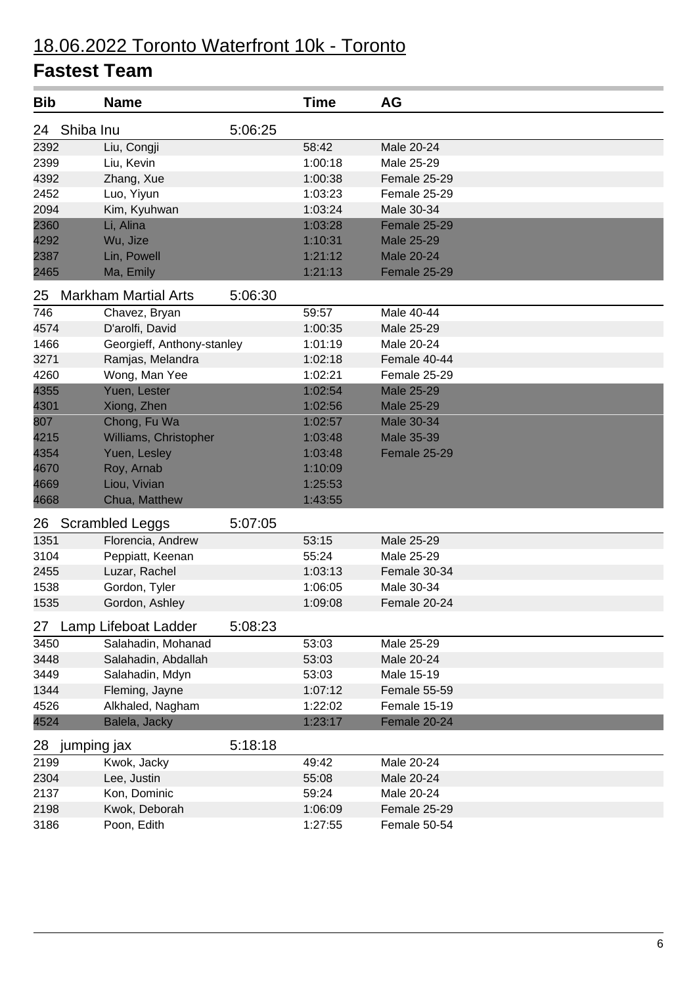| <b>Bib</b>        | <b>Name</b>                 |         | <b>Time</b> | <b>AG</b>         |
|-------------------|-----------------------------|---------|-------------|-------------------|
| Shiba Inu<br>24   |                             | 5:06:25 |             |                   |
| 2392              | Liu, Congji                 |         | 58:42       | Male 20-24        |
| 2399              | Liu, Kevin                  |         | 1:00:18     | Male 25-29        |
| 4392              | Zhang, Xue                  |         | 1:00:38     | Female 25-29      |
| 2452              | Luo, Yiyun                  |         | 1:03:23     | Female 25-29      |
| 2094              | Kim, Kyuhwan                |         | 1:03:24     | Male 30-34        |
| 2360              | Li, Alina                   |         | 1:03:28     | Female 25-29      |
| 4292              | Wu, Jize                    |         | 1:10:31     | <b>Male 25-29</b> |
| 2387              | Lin, Powell                 |         | 1:21:12     | <b>Male 20-24</b> |
| 2465              | Ma, Emily                   |         | 1:21:13     | Female 25-29      |
| 25                | <b>Markham Martial Arts</b> | 5:06:30 |             |                   |
| 746               | Chavez, Bryan               |         | 59:57       | Male 40-44        |
| 4574              | D'arolfi, David             |         | 1:00:35     | Male 25-29        |
| 1466              | Georgieff, Anthony-stanley  |         | 1:01:19     | Male 20-24        |
| 3271              | Ramjas, Melandra            |         | 1:02:18     | Female 40-44      |
| 4260              | Wong, Man Yee               |         | 1:02:21     | Female 25-29      |
| 4355              | Yuen, Lester                |         | 1:02:54     | <b>Male 25-29</b> |
| 4301              | Xiong, Zhen                 |         | 1:02:56     | <b>Male 25-29</b> |
| 807               | Chong, Fu Wa                |         | 1:02:57     | Male 30-34        |
| 4215              | Williams, Christopher       |         | 1:03:48     | Male 35-39        |
| 4354              | Yuen, Lesley                |         | 1:03:48     | Female 25-29      |
| 4670              | Roy, Arnab                  |         | 1:10:09     |                   |
| 4669              | Liou, Vivian                |         | 1:25:53     |                   |
| 4668              | Chua, Matthew               |         | 1:43:55     |                   |
| 26                | <b>Scrambled Leggs</b>      | 5:07:05 |             |                   |
| 1351              | Florencia, Andrew           |         | 53:15       | Male 25-29        |
| 3104              | Peppiatt, Keenan            |         | 55:24       | Male 25-29        |
| 2455              | Luzar, Rachel               |         | 1:03:13     | Female 30-34      |
| 1538              | Gordon, Tyler               |         | 1:06:05     | Male 30-34        |
| 1535              | Gordon, Ashley              |         | 1:09:08     | Female 20-24      |
| 27                | Lamp Lifeboat Ladder        | 5:08:23 |             |                   |
| 3450              | Salahadin, Mohanad          |         | 53:03       | Male 25-29        |
| 3448              | Salahadin, Abdallah         |         | 53:03       | Male 20-24        |
| 3449              | Salahadin, Mdyn             |         | 53:03       | Male 15-19        |
| 1344              | Fleming, Jayne              |         | 1:07:12     | Female 55-59      |
| 4526              | Alkhaled, Nagham            |         | 1:22:02     | Female 15-19      |
| 4524              | Balela, Jacky               |         | 1:23:17     | Female 20-24      |
| 28<br>jumping jax |                             | 5:18:18 |             |                   |
| 2199              | Kwok, Jacky                 |         | 49:42       | Male $20-24$      |
| 2304              | Lee, Justin                 |         | 55:08       | Male 20-24        |
| 2137              | Kon, Dominic                |         | 59:24       | Male 20-24        |
| 2198              | Kwok, Deborah               |         | 1:06:09     | Female 25-29      |
| 3186              | Poon, Edith                 |         | 1:27:55     | Female 50-54      |